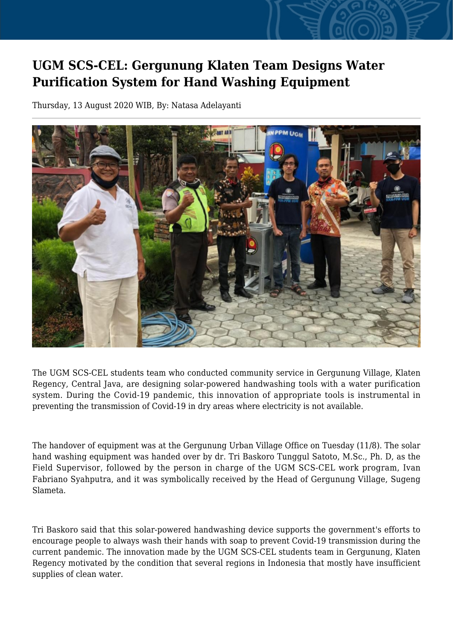## **UGM SCS-CEL: Gergunung Klaten Team Designs Water Purification System for Hand Washing Equipment**

Thursday, 13 August 2020 WIB, By: Natasa Adelayanti



The UGM SCS-CEL students team who conducted community service in Gergunung Village, Klaten Regency, Central Java, are designing solar-powered handwashing tools with a water purification system. During the Covid-19 pandemic, this innovation of appropriate tools is instrumental in preventing the transmission of Covid-19 in dry areas where electricity is not available.

The handover of equipment was at the Gergunung Urban Village Office on Tuesday (11/8). The solar hand washing equipment was handed over by dr. Tri Baskoro Tunggul Satoto, M.Sc., Ph. D, as the Field Supervisor, followed by the person in charge of the UGM SCS-CEL work program, Ivan Fabriano Syahputra, and it was symbolically received by the Head of Gergunung Village, Sugeng Slameta.

Tri Baskoro said that this solar-powered handwashing device supports the government's efforts to encourage people to always wash their hands with soap to prevent Covid-19 transmission during the current pandemic. The innovation made by the UGM SCS-CEL students team in Gergunung, Klaten Regency motivated by the condition that several regions in Indonesia that mostly have insufficient supplies of clean water.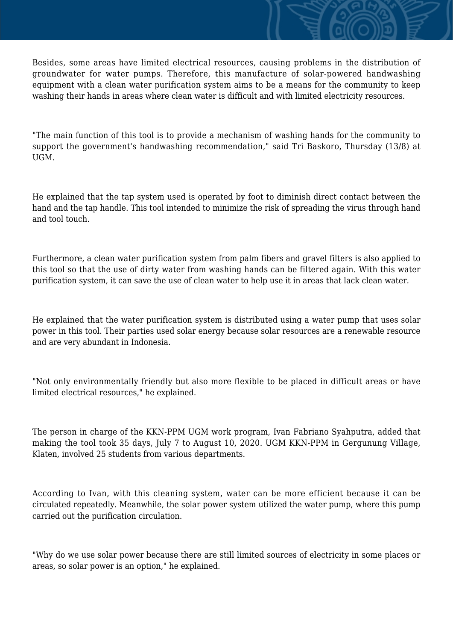Besides, some areas have limited electrical resources, causing problems in the distribution of groundwater for water pumps. Therefore, this manufacture of solar-powered handwashing equipment with a clean water purification system aims to be a means for the community to keep washing their hands in areas where clean water is difficult and with limited electricity resources.

"The main function of this tool is to provide a mechanism of washing hands for the community to support the government's handwashing recommendation," said Tri Baskoro, Thursday (13/8) at UGM.

He explained that the tap system used is operated by foot to diminish direct contact between the hand and the tap handle. This tool intended to minimize the risk of spreading the virus through hand and tool touch.

Furthermore, a clean water purification system from palm fibers and gravel filters is also applied to this tool so that the use of dirty water from washing hands can be filtered again. With this water purification system, it can save the use of clean water to help use it in areas that lack clean water.

He explained that the water purification system is distributed using a water pump that uses solar power in this tool. Their parties used solar energy because solar resources are a renewable resource and are very abundant in Indonesia.

"Not only environmentally friendly but also more flexible to be placed in difficult areas or have limited electrical resources," he explained.

The person in charge of the KKN-PPM UGM work program, Ivan Fabriano Syahputra, added that making the tool took 35 days, July 7 to August 10, 2020. UGM KKN-PPM in Gergunung Village, Klaten, involved 25 students from various departments.

According to Ivan, with this cleaning system, water can be more efficient because it can be circulated repeatedly. Meanwhile, the solar power system utilized the water pump, where this pump carried out the purification circulation.

"Why do we use solar power because there are still limited sources of electricity in some places or areas, so solar power is an option," he explained.